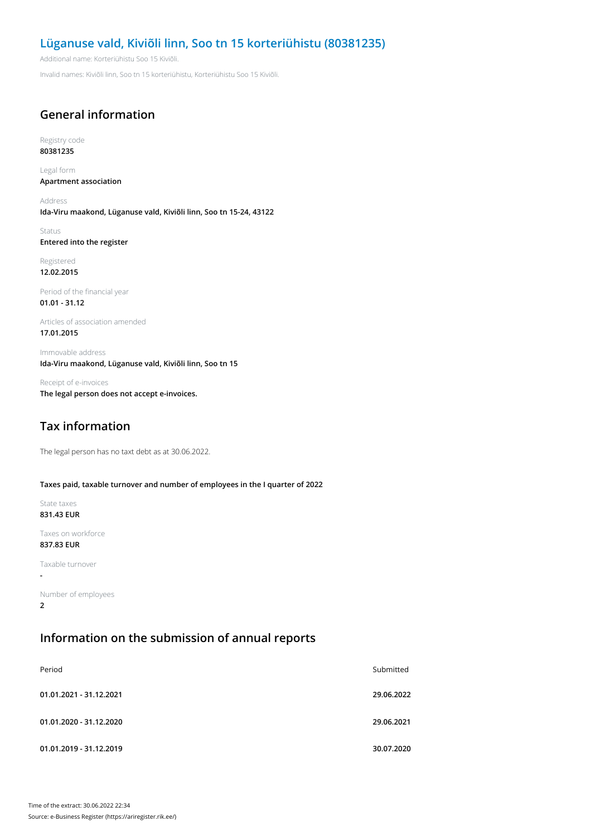## **Lüganuse vald, Kiviõli linn, Soo tn 15 korteriühistu (80381235)**

Additional name: Korteriühistu Soo 15 Kiviõli.

Invalid names: Kiviõli linn, Soo tn 15 korteriühistu, Korteriühistu Soo 15 Kiviõli.

# **General information**

Registry code **80381235**

Legal form **Apartment association**

Address **Ida-Viru maakond, Lüganuse vald, Kiviõli linn, Soo tn 15-24, 43122**

Status **Entered into the register**

Registered **12.02.2015**

Period of the financial year **01.01 - 31.12**

Articles of association amended **17.01.2015**

Immovable address **Ida-Viru maakond, Lüganuse vald, Kiviõli linn, Soo tn 15**

Receipt of e-invoices **The legal person does not accept e-invoices.**

# **Tax information**

The legal person has no taxt debt as at 30.06.2022.

#### **Taxes paid, taxable turnover and number of employees in the I quarter of 2022**

State taxes **831.43 EUR**

Taxes on workforce **837.83 EUR**

Taxable turnover

**-**

Number of employees **2**

### **Information on the submission of annual reports**

| Period                  | Submitted  |
|-------------------------|------------|
| 01.01.2021 - 31.12.2021 | 29.06.2022 |
| 01.01.2020 - 31.12.2020 | 29.06.2021 |
| 01.01.2019 - 31.12.2019 | 30.07.2020 |